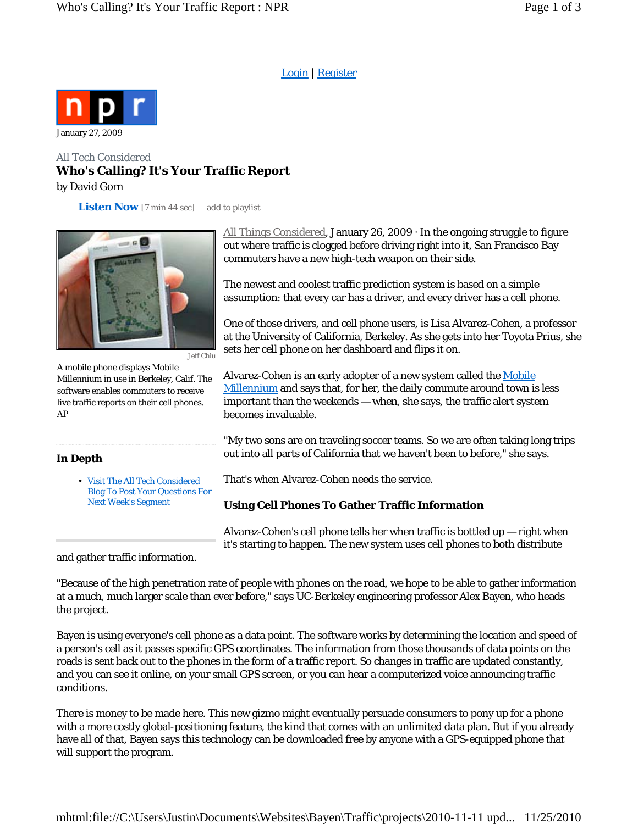Login | Register



# All Tech Considered **Who's Calling? It's Your Traffic Report** by David Gorn

**Listen Now** *[7 min 44 sec]* add to playlist



Jeff Chiu

A mobile phone displays Mobile Millennium in use in Berkeley, Calif. The software enables commuters to receive live traffic reports on their cell phones. AP

## **In Depth**

Visit The All Tech Considered • Blog To Post Your Questions For Next Week's Segment

All Things Considered, January 26, 2009  $\cdot$  In the ongoing struggle to figure out where traffic is clogged before driving right into it, San Francisco Bay commuters have a new high-tech weapon on their side.

The newest and coolest traffic prediction system is based on a simple assumption: that every car has a driver, and every driver has a cell phone.

One of those drivers, and cell phone users, is Lisa Alvarez-Cohen, a professor at the University of California, Berkeley. As she gets into her Toyota Prius, she sets her cell phone on her dashboard and flips it on.

Alvarez-Cohen is an early adopter of a new system called the Mobile Millennium and says that, for her, the daily commute around town is less important than the weekends — when, she says, the traffic alert system becomes invaluable.

"My two sons are on traveling soccer teams. So we are often taking long trips out into all parts of California that we haven't been to before," she says.

That's when Alvarez-Cohen needs the service.

# **Using Cell Phones To Gather Traffic Information**

Alvarez-Cohen's cell phone tells her when traffic is bottled up — right when it's starting to happen. The new system uses cell phones to both distribute

and gather traffic information.

"Because of the high penetration rate of people with phones on the road, we hope to be able to gather information at a much, much larger scale than ever before," says UC-Berkeley engineering professor Alex Bayen, who heads the project.

Bayen is using everyone's cell phone as a data point. The software works by determining the location and speed of a person's cell as it passes specific GPS coordinates. The information from those thousands of data points on the roads is sent back out to the phones in the form of a traffic report. So changes in traffic are updated constantly, and you can see it online, on your small GPS screen, or you can hear a computerized voice announcing traffic conditions.

There is money to be made here. This new gizmo might eventually persuade consumers to pony up for a phone with a more costly global-positioning feature, the kind that comes with an unlimited data plan. But if you already have all of that, Bayen says this technology can be downloaded free by anyone with a GPS-equipped phone that will support the program.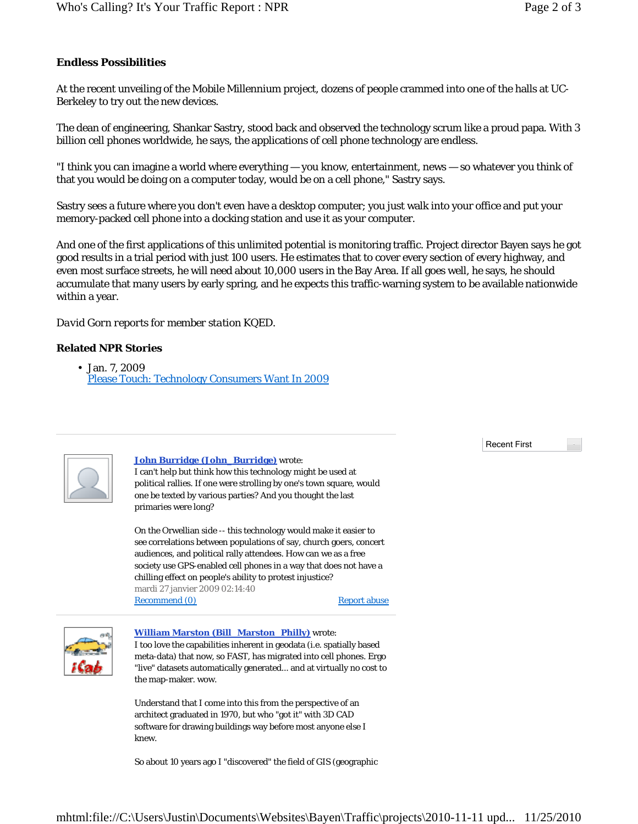### **Endless Possibilities**

At the recent unveiling of the Mobile Millennium project, dozens of people crammed into one of the halls at UC-Berkeley to try out the new devices.

The dean of engineering, Shankar Sastry, stood back and observed the technology scrum like a proud papa. With 3 billion cell phones worldwide, he says, the applications of cell phone technology are endless.

"I think you can imagine a world where everything — you know, entertainment, news — so whatever you think of that you would be doing on a computer today, would be on a cell phone," Sastry says.

Sastry sees a future where you don't even have a desktop computer; you just walk into your office and put your memory-packed cell phone into a docking station and use it as your computer.

And one of the first applications of this unlimited potential is monitoring traffic. Project director Bayen says he got good results in a trial period with just 100 users. He estimates that to cover every section of every highway, and even most surface streets, he will need about 10,000 users in the Bay Area. If all goes well, he says, he should accumulate that many users by early spring, and he expects this traffic-warning system to be available nationwide within a year.

#### *David Gorn reports for member station KQED.*

#### **Related NPR Stories**

• Jan. 7, 2009 Please Touch: Technology Consumers Want In 2009



### **John Burridge (John\_Burridge)** wrote:

I can't help but think how this technology might be used at political rallies. If one were strolling by one's town square, would one be texted by various parties? And you thought the last primaries were long?

Recommend (0) On the Orwellian side -- this technology would make it easier to see correlations between populations of say, church goers, concert audiences, and political rally attendees. How can we as a free society use GPS-enabled cell phones in a way that does not have a chilling effect on people's ability to protest injustice? mardi 27 janvier 2009 02:14:40

Report abuse



#### **William Marston (Bill\_Marston\_Philly)** wrote:

I too love the capabilities inherent in geodata (i.e. spatially based meta-data) that now, so FAST, has migrated into cell phones. Ergo "live" datasets automatically generated... and at virtually no cost to the map-maker. wow.

Understand that I come into this from the perspective of an architect graduated in 1970, but who "got it" with 3D CAD software for drawing buildings way before most anyone else I knew.

So about 10 years ago I "discovered" the field of GIS (geographic

Recent First